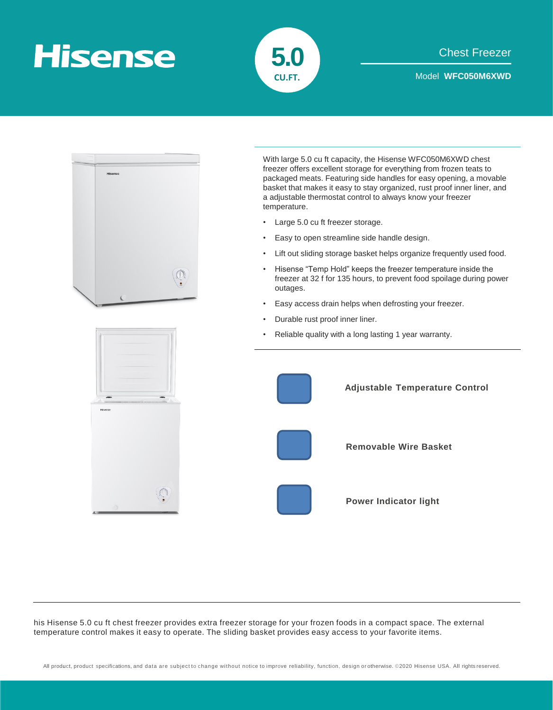## **Hisense**





his Hisense 5.0 cu ft chest freezer provides extra freezer storage for your frozen foods in a compact space. The external temperature control makes it easy to operate. The sliding basket provides easy access to your favorite items.